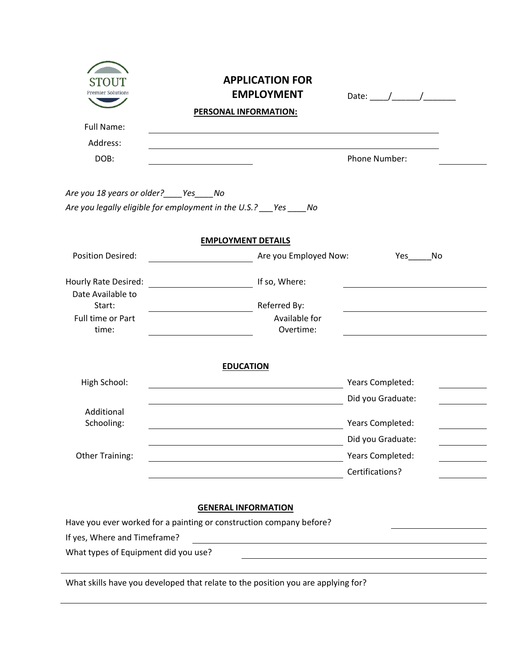| <b>Premier Solutions</b>                  | <b>APPLICATION FOR</b><br><b>EMPLOYMENT</b>                                      | Date: $\frac{1}{\sqrt{1-\frac{1}{2}}}\frac{1}{\sqrt{1-\frac{1}{2}}}\frac{1}{\sqrt{1-\frac{1}{2}}}\frac{1}{\sqrt{1-\frac{1}{2}}}\frac{1}{\sqrt{1-\frac{1}{2}}}\frac{1}{\sqrt{1-\frac{1}{2}}}\frac{1}{\sqrt{1-\frac{1}{2}}}\frac{1}{\sqrt{1-\frac{1}{2}}}\frac{1}{\sqrt{1-\frac{1}{2}}}\frac{1}{\sqrt{1-\frac{1}{2}}}\frac{1}{\sqrt{1-\frac{1}{2}}}\frac{1}{\sqrt{1-\frac{1}{2}}}\frac{1}{\sqrt{1-\frac{1}{2}}}\frac{1}{\$ |
|-------------------------------------------|----------------------------------------------------------------------------------|--------------------------------------------------------------------------------------------------------------------------------------------------------------------------------------------------------------------------------------------------------------------------------------------------------------------------------------------------------------------------------------------------------------------------|
|                                           | <b>PERSONAL INFORMATION:</b>                                                     |                                                                                                                                                                                                                                                                                                                                                                                                                          |
| <b>Full Name:</b>                         |                                                                                  |                                                                                                                                                                                                                                                                                                                                                                                                                          |
| Address:                                  |                                                                                  |                                                                                                                                                                                                                                                                                                                                                                                                                          |
| DOB:                                      |                                                                                  | <b>Phone Number:</b>                                                                                                                                                                                                                                                                                                                                                                                                     |
| Are you 18 years or older? ____ Yes____No |                                                                                  |                                                                                                                                                                                                                                                                                                                                                                                                                          |
|                                           | Are you legally eligible for employment in the U.S.? Yes ____ No                 |                                                                                                                                                                                                                                                                                                                                                                                                                          |
|                                           | <b>EMPLOYMENT DETAILS</b>                                                        |                                                                                                                                                                                                                                                                                                                                                                                                                          |
| <b>Position Desired:</b>                  | Are you Employed Now:                                                            | <b>Yes</b><br>No                                                                                                                                                                                                                                                                                                                                                                                                         |
| Hourly Rate Desired:                      | <u>150, Where:</u> If so, Where:                                                 |                                                                                                                                                                                                                                                                                                                                                                                                                          |
| Date Available to                         |                                                                                  |                                                                                                                                                                                                                                                                                                                                                                                                                          |
| Start:                                    | Referred By:                                                                     |                                                                                                                                                                                                                                                                                                                                                                                                                          |
| Full time or Part<br>time:                | Available for<br>Overtime:                                                       |                                                                                                                                                                                                                                                                                                                                                                                                                          |
|                                           | <b>EDUCATION</b>                                                                 |                                                                                                                                                                                                                                                                                                                                                                                                                          |
| High School:                              | <u> 1980 - Johann Barbara, martxa alemaniar amerikan a</u>                       | Years Completed:                                                                                                                                                                                                                                                                                                                                                                                                         |
|                                           |                                                                                  | Did you Graduate:                                                                                                                                                                                                                                                                                                                                                                                                        |
| Additional                                |                                                                                  |                                                                                                                                                                                                                                                                                                                                                                                                                          |
| Schooling:                                |                                                                                  | Years Completed:                                                                                                                                                                                                                                                                                                                                                                                                         |
|                                           |                                                                                  | Did you Graduate:                                                                                                                                                                                                                                                                                                                                                                                                        |
| <b>Other Training:</b>                    |                                                                                  | Years Completed:                                                                                                                                                                                                                                                                                                                                                                                                         |
|                                           |                                                                                  | Certifications?                                                                                                                                                                                                                                                                                                                                                                                                          |
|                                           | <b>GENERAL INFORMATION</b>                                                       |                                                                                                                                                                                                                                                                                                                                                                                                                          |
|                                           | Have you ever worked for a painting or construction company before?              |                                                                                                                                                                                                                                                                                                                                                                                                                          |
| If yes, Where and Timeframe?              | <u> 1980 - Johann John Stein, fransk politik (f. 1980)</u>                       |                                                                                                                                                                                                                                                                                                                                                                                                                          |
| What types of Equipment did you use?      |                                                                                  |                                                                                                                                                                                                                                                                                                                                                                                                                          |
|                                           | What skills have you developed that relate to the position you are applying for? |                                                                                                                                                                                                                                                                                                                                                                                                                          |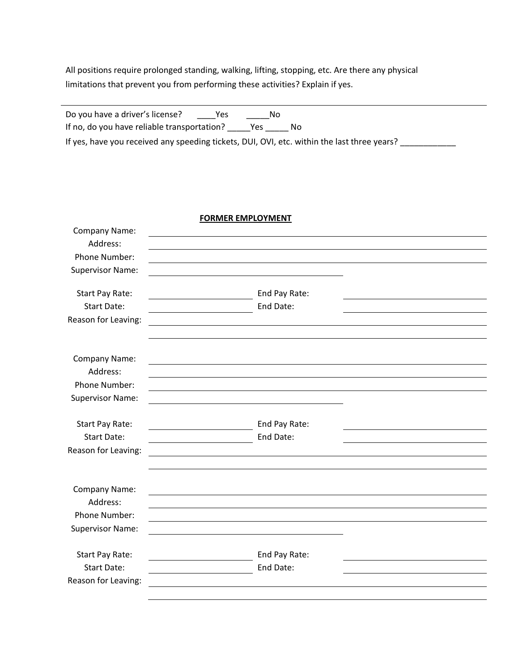All positions require prolonged standing, walking, lifting, stopping, etc. Are there any physical limitations that prevent you from performing these activities? Explain if yes.

| Do you have a driver's license?                                                             | Yes | Nο  |    |  |  |
|---------------------------------------------------------------------------------------------|-----|-----|----|--|--|
| If no, do you have reliable transportation?                                                 |     | Yes | NΩ |  |  |
| If yes, have you received any speeding tickets, DUI, OVI, etc. within the last three years? |     |     |    |  |  |

## **FORMER EMPLOYMENT**

| Company Name:           |                                                                                                                                      |  |
|-------------------------|--------------------------------------------------------------------------------------------------------------------------------------|--|
| Address:                |                                                                                                                                      |  |
| Phone Number:           |                                                                                                                                      |  |
| <b>Supervisor Name:</b> |                                                                                                                                      |  |
|                         |                                                                                                                                      |  |
| Start Pay Rate:         | End Pay Rate:                                                                                                                        |  |
| <b>Start Date:</b>      | End Date:                                                                                                                            |  |
| Reason for Leaving:     | <u> 1980 - Johann Stoff, deutscher Stoffen und der Stoffen und der Stoffen und der Stoffen und der Stoffen und der</u>               |  |
|                         |                                                                                                                                      |  |
|                         |                                                                                                                                      |  |
| Company Name:           |                                                                                                                                      |  |
| Address:                |                                                                                                                                      |  |
| Phone Number:           |                                                                                                                                      |  |
| <b>Supervisor Name:</b> |                                                                                                                                      |  |
| Start Pay Rate:         | End Pay Rate:                                                                                                                        |  |
| <b>Start Date:</b>      | <u> 1989 - Johann Stoff, deutscher Stoffen und der Stoffen und der Stoffen und der Stoffen und der Stoffen und der </u><br>End Date: |  |
| Reason for Leaving:     | $\overline{\phantom{a}}$                                                                                                             |  |
|                         | <u> 1989 - Johann Stein, fransk politiker (d. 1989)</u>                                                                              |  |
|                         |                                                                                                                                      |  |
| Company Name:           |                                                                                                                                      |  |
| Address:                |                                                                                                                                      |  |
| Phone Number:           |                                                                                                                                      |  |
| <b>Supervisor Name:</b> |                                                                                                                                      |  |
|                         |                                                                                                                                      |  |
| Start Pay Rate:         | End Pay Rate:                                                                                                                        |  |
| <b>Start Date:</b>      | End Date:                                                                                                                            |  |
| Reason for Leaving:     |                                                                                                                                      |  |
|                         |                                                                                                                                      |  |